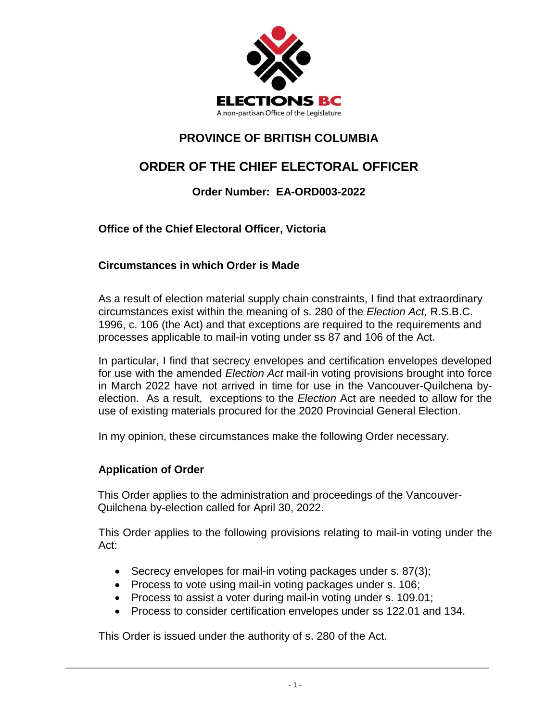

## **PROVINCE OF BRITISH COLUMBIA**

# **ORDER OF THE CHIEF ELECTORAL OFFICER**

## **Order Number: EA-ORD003-2022**

**Office of the Chief Electoral Officer, Victoria**

## **Circumstances in which Order is Made**

As a result of election material supply chain constraints, I find that extraordinary circumstances exist within the meaning of s. 280 of the *Election Act,* R.S.B.C. 1996, c. 106 (the Act) and that exceptions are required to the requirements and processes applicable to mail-in voting under ss 87 and 106 of the Act.

In particular, I find that secrecy envelopes and certification envelopes developed for use with the amended *Election Act* mail-in voting provisions brought into force in March 2022 have not arrived in time for use in the Vancouver-Quilchena byelection. As a result, exceptions to the *Election* Act are needed to allow for the use of existing materials procured for the 2020 Provincial General Election.

In my opinion, these circumstances make the following Order necessary.

### **Application of Order**

This Order applies to the administration and proceedings of the Vancouver-Quilchena by-election called for April 30, 2022.

This Order applies to the following provisions relating to mail-in voting under the Act:

- Secrecy envelopes for mail-in voting packages under s. 87(3);
- Process to vote using mail-in voting packages under s. 106;
- Process to assist a voter during mail-in voting under s. 109.01;

\_\_\_\_\_\_\_\_\_\_\_\_\_\_\_\_\_\_\_\_\_\_\_\_\_\_\_\_\_\_\_\_\_\_\_\_\_\_\_\_\_\_\_\_\_\_\_\_\_\_\_\_\_\_\_\_\_\_\_\_\_\_\_\_\_\_\_\_\_\_\_\_\_\_\_\_\_\_\_\_\_\_\_\_\_\_\_\_\_\_\_\_\_

Process to consider certification envelopes under ss 122.01 and 134.

This Order is issued under the authority of s. 280 of the Act.